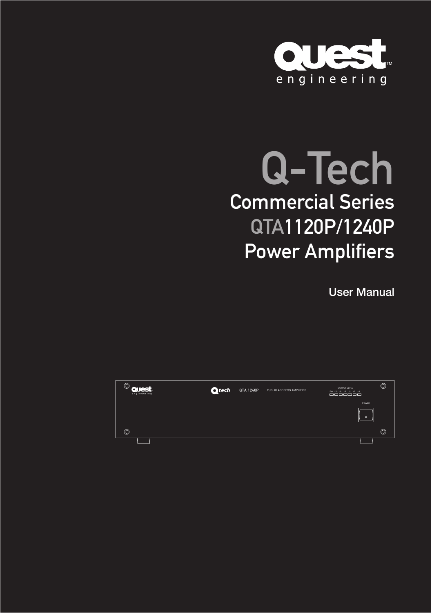

# Q-Tech Commercial Series QTA1120P/1240P Power Amplifiers

User Manual

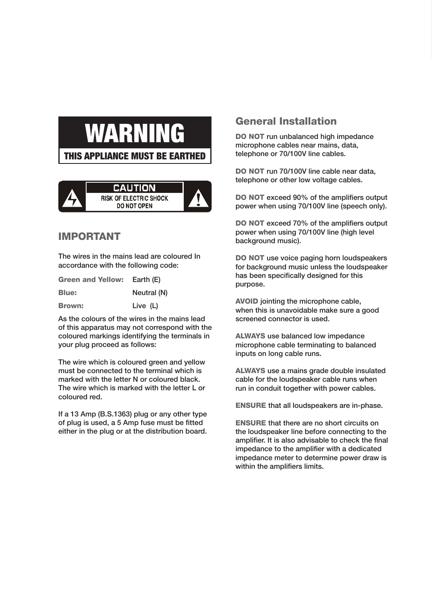# WARN

THIS APPLIANCE MUST BE EARTHED



#### IMPORTANT

The wires in the mains lead are coloured In accordance with the following code:

| <b>Green and Yellow:</b> | Earth (E)   |
|--------------------------|-------------|
| Blue:                    | Neutral (N) |
| Brown:                   | Live (L)    |

As the colours of the wires in the mains lead of this apparatus may not correspond with the coloured markings identifying the terminals in your plug proceed as follows:

The wire which is coloured green and yellow must be connected to the terminal which is marked with the letter N or coloured black. The wire which is marked with the letter L or coloured red.

If a 13 Amp (B.S.1363) plug or any other type of plug is used, a 5 Amp fuse must be fitted either in the plug or at the distribution board.

#### General Installation

DO NOT run unbalanced high impedance microphone cables near mains, data, telephone or 70/100V line cables.

DO NOT run 70/100V line cable near data, telephone or other low voltage cables.

DO NOT exceed 90% of the amplifiers output power when using 70/100V line (speech only).

DO NOT exceed 70% of the amplifiers output power when using 70/100V line (high level background music).

DO NOT use voice paging horn loudspeakers for background music unless the loudspeaker has been specifically designed for this purpose.

AVOID jointing the microphone cable, when this is unavoidable make sure a good screened connector is used.

ALWAYS use balanced low impedance microphone cable terminating to balanced inputs on long cable runs.

ALWAYS use a mains grade double insulated cable for the loudspeaker cable runs when run in conduit together with power cables.

ENSURE that all loudspeakers are in-phase.

ENSURE that there are no short circuits on the loudspeaker line before connecting to the amplifier. It is also advisable to check the final impedance to the amplifier with a dedicated impedance meter to determine power draw is within the amplifiers limits.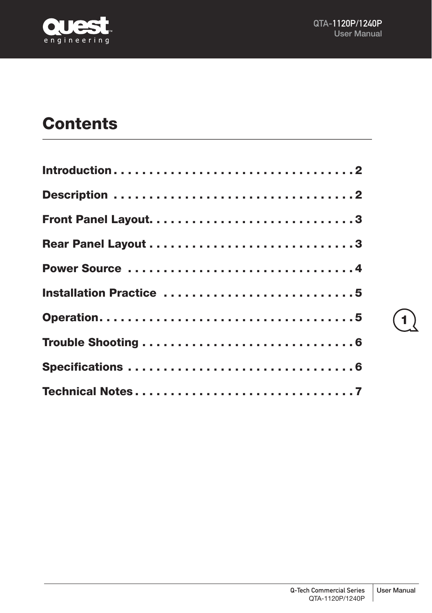



# **Contents**

| Introduction2           |  |  |  |  |  |  |  |  |  |  |  |  |  |
|-------------------------|--|--|--|--|--|--|--|--|--|--|--|--|--|
|                         |  |  |  |  |  |  |  |  |  |  |  |  |  |
|                         |  |  |  |  |  |  |  |  |  |  |  |  |  |
|                         |  |  |  |  |  |  |  |  |  |  |  |  |  |
| Power Source 4          |  |  |  |  |  |  |  |  |  |  |  |  |  |
| Installation Practice 5 |  |  |  |  |  |  |  |  |  |  |  |  |  |
|                         |  |  |  |  |  |  |  |  |  |  |  |  |  |
|                         |  |  |  |  |  |  |  |  |  |  |  |  |  |
|                         |  |  |  |  |  |  |  |  |  |  |  |  |  |
|                         |  |  |  |  |  |  |  |  |  |  |  |  |  |

1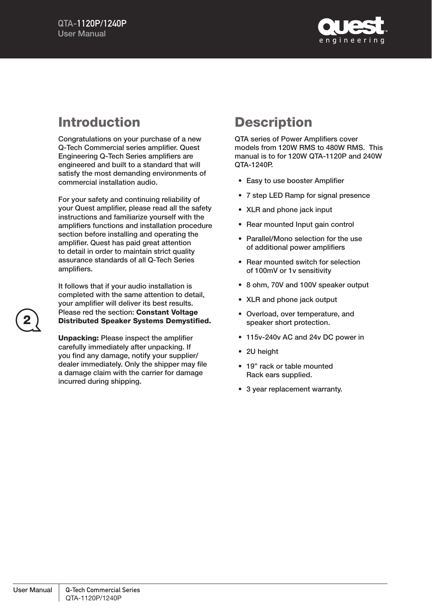

# Introduction

Congratulations on your purchase of a new Q-Tech Commercial series amplifier. Quest Engineering Q-Tech Series amplifiers are engineered and built to a standard that will satisfy the most demanding environments of commercial installation audio.

For your safety and continuing reliability of your Quest amplifier, please read all the safety instructions and familiarize yourself with the amplifiers functions and installation procedure section before installing and operating the amplifier. Quest has paid great attention to detail in order to maintain strict quality assurance standards of all Q-Tech Series amplifiers.

It follows that if your audio installation is completed with the same attention to detail, your amplifier will deliver its best results. Please red the section: Constant Voltage Distributed Speaker Systems Demystified.

Unpacking: Please inspect the amplifier carefully immediately after unpacking. If you find any damage, notify your supplier/ dealer immediately. Only the shipper may file a damage claim with the carrier for damage incurred during shipping.

# **Description**

QTA series of Power Amplifiers cover models from 120W RMS to 480W RMS. This manual is to for 120W QTA-1120P and 240W QTA-1240P.

- Easy to use booster Amplifier
- 7 step LED Ramp for signal presence
- XLR and phone jack input
- Rear mounted Input gain control
- Parallel/Mono selection for the use of additional power amplifiers
- Rear mounted switch for selection of 100mV or 1v sensitivity
- 8 ohm, 70V and 100V speaker output
- XLR and phone jack output
- Overload, over temperature, and speaker short protection.
- 115v-240v AC and 24v DC power in
- 2U height
- 19" rack or table mounted Rack ears supplied.
- 3 year replacement warranty.

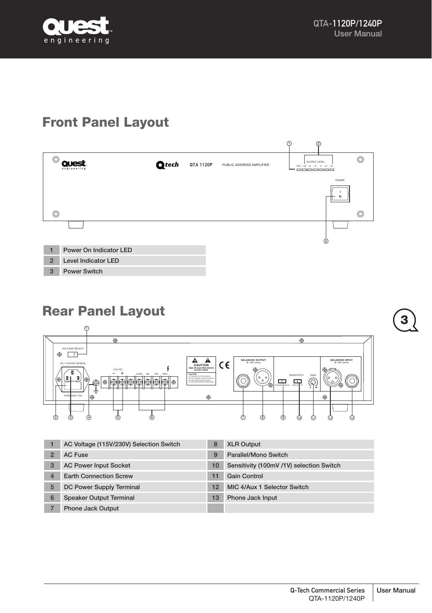

# Front Panel Layout



# Rear Panel Layout



|   | AC Voltage (115V/230V) Selection Switch | 8  | <b>XLR Output</b>                        |
|---|-----------------------------------------|----|------------------------------------------|
|   | <b>AC Fuse</b>                          | 9  | Parallel/Mono Switch                     |
| 3 | <b>AC Power Input Socket</b>            | 10 | Sensitivity (100mV /1V) selection Switch |
| 4 | <b>Earth Connection Screw</b>           | 11 | Gain Control                             |
| 5 | DC Power Supply Terminal                | 12 | MIC 4/Aux 1 Selector Switch              |
| 6 | <b>Speaker Output Terminal</b>          | 13 | Phone Jack Input                         |
|   | <b>Phone Jack Output</b>                |    |                                          |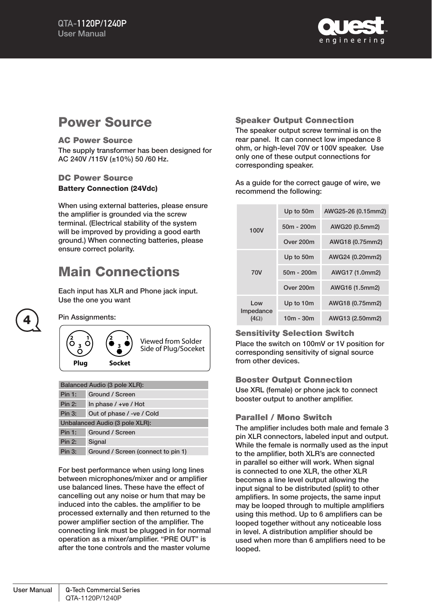

## Power Source

#### AC Power Source

The supply transformer has been designed for AC 240V /115V (±10%) 50 /60 Hz.

#### DC Power Source Battery Connection (24Vdc)

When using external batteries, please ensure the amplifier is grounded via the screw terminal. (Electrical stability of the system will be improved by providing a good earth ground.) When connecting batteries, please ensure correct polarity.

# Main Connections

Each input has XLR and Phone jack input. Use the one you want

4

Pin Assignments:

**1 3 2 Plug 1 3 Socket <sup>2</sup>** Viewed from Solder Side of Plug/Soceket

| Balanced Audio (3 pole XLR):   |                                    |  |  |  |  |  |  |
|--------------------------------|------------------------------------|--|--|--|--|--|--|
| <b>Pin 1:</b>                  | Ground / Screen                    |  |  |  |  |  |  |
| Pin 2:                         | In phase $/$ +ve $/$ Hot           |  |  |  |  |  |  |
| Pin 3:                         | Out of phase / -ve / Cold          |  |  |  |  |  |  |
| Unbalanced Audio (3 pole XLR): |                                    |  |  |  |  |  |  |
| Pin 1:                         | Ground / Screen                    |  |  |  |  |  |  |
| <b>Pin 2:</b>                  | Signal                             |  |  |  |  |  |  |
| Pin 3:                         | Ground / Screen (connect to pin 1) |  |  |  |  |  |  |

For best performance when using long lines between microphones/mixer and or amplifier use balanced lines. These have the effect of cancelling out any noise or hum that may be induced into the cables. the amplifier to be processed externally and then returned to the power amplifier section of the amplifier. The connecting link must be plugged in for normal operation as a mixer/amplifier. "PRE OUT" is after the tone controls and the master volume

#### Speaker Output Connection

The speaker output screw terminal is on the rear panel. It can connect low impedance 8 ohm, or high-level 70V or 100V speaker. Use only one of these output connections for corresponding speaker.

As a guide for the correct gauge of wire, we recommend the following:

|                                 | Up to 50m    | AWG25-26 (0.15mm2) |  |  |  |  |  |
|---------------------------------|--------------|--------------------|--|--|--|--|--|
| 100V                            | $50m - 200m$ | AWG20 (0.5mm2)     |  |  |  |  |  |
|                                 | Over 200m    | AWG18 (0.75mm2)    |  |  |  |  |  |
| <b>70V</b>                      | Up to 50m    | AWG24 (0.20mm2)    |  |  |  |  |  |
|                                 | $50m - 200m$ | AWG17 (1.0mm2)     |  |  |  |  |  |
|                                 | Over 200m    | AWG16 (1.5mm2)     |  |  |  |  |  |
| Low<br>Impedance<br>$(4\Omega)$ | Up to 10m    | AWG18 (0.75mm2)    |  |  |  |  |  |
|                                 | $10m - 30m$  | AWG13 (2.50mm2)    |  |  |  |  |  |

#### Sensitivity Selection Switch

Place the switch on 100mV or 1V position for corresponding sensitivity of signal source from other devices.

#### Booster Output Connection

Use XRL (female) or phone jack to connect booster output to another amplifier.

#### Parallel / Mono Switch

The amplifier includes both male and female 3 pin XLR connectors, labeled input and output. While the female is normally used as the input to the amplifier, both XLR's are connected in parallel so either will work. When signal is connected to one XLR, the other XLR becomes a line level output allowing the input signal to be distributed (split) to other amplifiers. In some projects, the same input may be looped through to multiple amplifiers using this method. Up to 6 amplifiers can be looped together without any noticeable loss in level. A distribution amplifier should be used when more than 6 amplifiers need to be looped.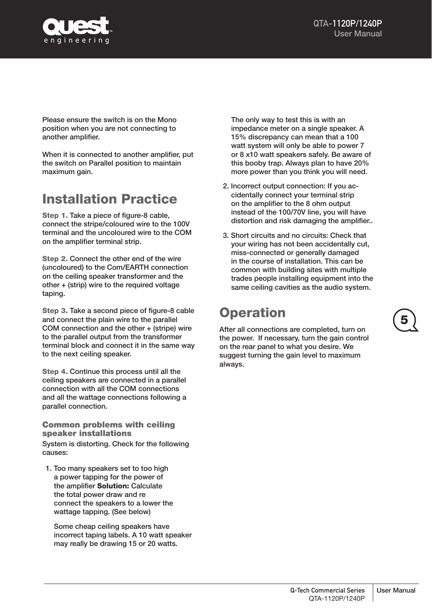

Please ensure the switch is on the Mono position when you are not connecting to another amplifier.

When it is connected to another amplifier, put the switch on Parallel position to maintain maximum gain.

# Installation Practice

Step 1. Take a piece of figure-8 cable. connect the stripe/coloured wire to the 100V terminal and the uncoloured wire to the COM on the amplifier terminal strip.

Step 2. Connect the other end of the wire (uncoloured) to the Com/EARTH connection on the ceiling speaker transformer and the other + (strip) wire to the required voltage taping.

Step 3. Take a second piece of figure-8 cable and connect the plain wire to the parallel COM connection and the other + (stripe) wire to the parallel output from the transformer terminal block and connect it in the same way to the next ceiling speaker.

Step 4. Continue this process until all the ceiling speakers are connected in a parallel connection with all the COM connections and all the wattage connections following a parallel connection.

Common problems with ceiling speaker installations System is distorting. Check for the following causes:

1. Too many speakers set to too high a power tapping for the power of the amplifier Solution: Calculate the total power draw and re connect the speakers to a lower the wattage tapping. (See below)

Some cheap ceiling speakers have incorrect taping labels. A 10 watt speaker may really be drawing 15 or 20 watts.

The only way to test this is with an impedance meter on a single speaker. A 15% discrepancy can mean that a 100 watt system will only be able to power 7 or 8 x10 watt speakers safely. Be aware of this booby trap. Always plan to have 20% more power than you think you will need.

- 2. Incorrect output connection: If you accidentally connect your terminal strip on the amplifier to the 8 ohm output instead of the 100/70V line, you will have distortion and risk damaging the amplifier..
- 3. Short circuits and no circuits: Check that your wiring has not been accidentally cut, miss-connected or generally damaged in the course of installation. This can be common with building sites with multiple trades people installing equipment into the same ceiling cavities as the audio system.

# **Operation**

After all connections are completed, turn on the power. If necessary, turn the gain control on the rear panel to what you desire. We suggest turning the gain level to maximum always.

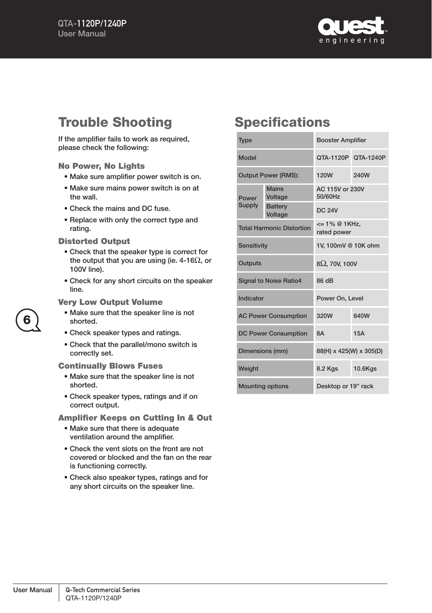

# Trouble Shooting

If the amplifier fails to work as required, please check the following:

#### No Power, No Lights

- Make sure amplifier power switch is on.
- Make sure mains power switch is on at the wall.
- Check the mains and DC fuse.
- Replace with only the correct type and rating.

#### Distorted Output

- Check that the speaker type is correct for the output that you are using (ie. 4-16 $\Omega$ , or 100V line).
- Check for any short circuits on the speaker line.

#### Very Low Output Volume

- Make sure that the speaker line is not shorted.
- Check speaker types and ratings.
- Check that the parallel/mono switch is correctly set.

#### Continually Blows Fuses

- Make sure that the speaker line is not shorted.
- Check speaker types, ratings and if on correct output.

Amplifier Keeps on Cutting In & Out

- Make sure that there is adequate ventilation around the amplifier.
- Check the vent slots on the front are not covered or blocked and the fan on the rear is functioning correctly.
- Check also speaker types, ratings and for any short circuits on the speaker line.

## **Specifications**

| <b>Type</b>     |                                  | <b>Booster Amplifier</b>                        |                     |  |  |  |  |
|-----------------|----------------------------------|-------------------------------------------------|---------------------|--|--|--|--|
| Model           |                                  |                                                 | OTA-1120P OTA-1240P |  |  |  |  |
|                 | <b>Output Power (RMS):</b>       | 120W<br>240W                                    |                     |  |  |  |  |
| Power           | <b>Mains</b><br>Voltage          | AC 115V or 230V<br>50/60Hz                      |                     |  |  |  |  |
| <b>Supply</b>   | <b>Battery</b><br>Voltage        | <b>DC 24V</b>                                   |                     |  |  |  |  |
|                 | <b>Total Harmonic Distortion</b> | $= 1\% \n\textcircled{a} 1$ KHz,<br>rated power |                     |  |  |  |  |
| Sensitivity     |                                  | 1V, 100mV @ 10K ohm                             |                     |  |  |  |  |
| Outputs         |                                  | $8\Omega$ , 70V, 100V                           |                     |  |  |  |  |
|                 | <b>Signal to Noise Ratio4</b>    | 86 dB                                           |                     |  |  |  |  |
| Indicator       |                                  | Power On, Level                                 |                     |  |  |  |  |
|                 | <b>AC Power Consumption</b>      | 640W<br>320W                                    |                     |  |  |  |  |
|                 | <b>DC Power Consumption</b>      | 15A<br><b>8A</b>                                |                     |  |  |  |  |
| Dimensions (mm) |                                  | 88(H) x 425(W) x 305(D)                         |                     |  |  |  |  |
| Weight          |                                  | 8.2 Kgs<br>10.6Kgs                              |                     |  |  |  |  |
|                 | <b>Mounting options</b>          | Desktop or 19" rack                             |                     |  |  |  |  |

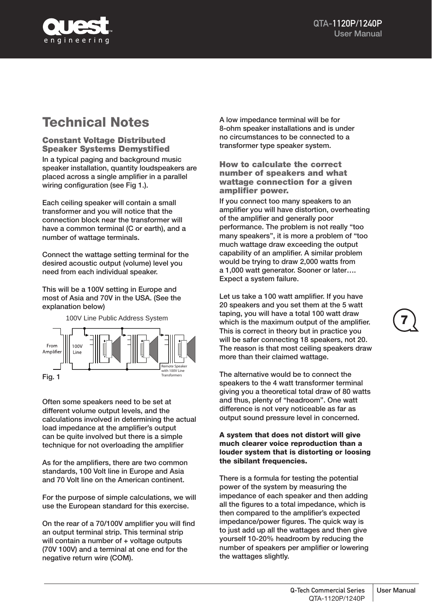

# Technical Notes

Constant Voltage Distributed Speaker Systems Demystified In a typical paging and background music speaker installation, quantity loudspeakers are placed across a single amplifier in a parallel wiring configuration (see Fig 1.).

Each ceiling speaker will contain a small transformer and you will notice that the connection block near the transformer will have a common terminal (C or earth), and a number of wattage terminals.

Connect the wattage setting terminal for the desired acoustic output (volume) level you need from each individual speaker.

This will be a 100V setting in Europe and most of Asia and 70V in the USA. (See the explanation below)



Often some speakers need to be set at different volume output levels, and the calculations involved in determining the actual load impedance at the amplifier's output can be quite involved but there is a simple technique for not overloading the amplifier

As for the amplifiers, there are two common standards, 100 Volt line in Europe and Asia and 70 Volt line on the American continent.

For the purpose of simple calculations, we will use the European standard for this exercise.

On the rear of a 70/100V amplifier you will find an output terminal strip. This terminal strip will contain a number of + voltage outputs (70V 100V) and a terminal at one end for the negative return wire (COM).

A low impedance terminal will be for 8-ohm speaker installations and is under no circumstances to be connected to a transformer type speaker system.

How to calculate the correct number of speakers and what wattage connection for a given amplifier power.

If you connect too many speakers to an amplifier you will have distortion, overheating of the amplifier and generally poor performance. The problem is not really "too many speakers", it is more a problem of "too much wattage draw exceeding the output capability of an amplifier. A similar problem would be trying to draw 2,000 watts from a 1,000 watt generator. Sooner or later…. Expect a system failure.

Let us take a 100 watt amplifier. If you have 20 speakers and you set them at the 5 watt taping, you will have a total 100 watt draw which is the maximum output of the amplifier. This is correct in theory but in practice you will be safer connecting 18 speakers, not 20. The reason is that most ceiling speakers draw more than their claimed wattage.

The alternative would be to connect the speakers to the 4 watt transformer terminal giving you a theoretical total draw of 80 watts and thus, plenty of "headroom". One watt difference is not very noticeable as far as output sound pressure level in concerned.

#### A system that does not distort will give much clearer voice reproduction than a louder system that is distorting or loosing the sibilant frequencies.

There is a formula for testing the potential power of the system by measuring the impedance of each speaker and then adding all the figures to a total impedance, which is then compared to the amplifier's expected impedance/power figures. The quick way is to just add up all the wattages and then give yourself 10-20% headroom by reducing the number of speakers per amplifier or lowering the wattages slightly.

7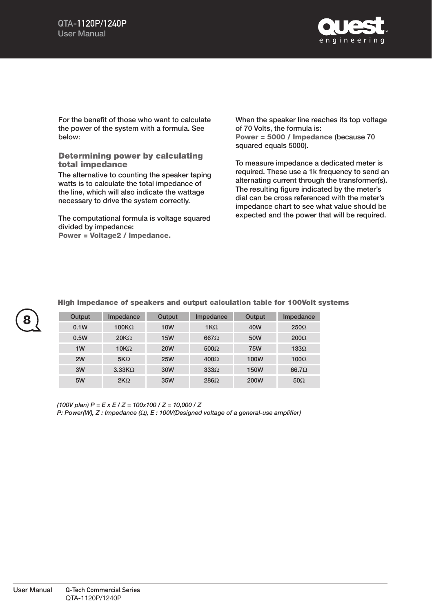

For the benefit of those who want to calculate the power of the system with a formula. See below:

Determining power by calculating total impedance

The alternative to counting the speaker taping watts is to calculate the total impedance of the line, which will also indicate the wattage necessary to drive the system correctly.

The computational formula is voltage squared divided by impedance: Power = Voltage2 / Impedance.

When the speaker line reaches its top voltage of 70 Volts, the formula is: Power = 5000 / Impedance (because 70 squared equals 5000).

To measure impedance a dedicated meter is required. These use a 1k frequency to send an alternating current through the transformer(s). The resulting figure indicated by the meter's dial can be cross referenced with the meter's impedance chart to see what value should be expected and the power that will be required.

| 8 | Output | Impedance     | Output     | Impedance   | Output      | Impedance    |
|---|--------|---------------|------------|-------------|-------------|--------------|
|   | 0.1W   | $100K\Omega$  | <b>10W</b> | $1K\Omega$  | 40W         | $250\Omega$  |
|   | 0.5W   | $20K\Omega$   | <b>15W</b> | $667\Omega$ | 50W         | $200\Omega$  |
|   | 1W     | $10K\Omega$   | <b>20W</b> | $500\Omega$ | <b>75W</b>  | $133\Omega$  |
|   | 2W     | $5K\Omega$    | <b>25W</b> | $400\Omega$ | 100W        | $100\Omega$  |
|   | 3W     | $3.33K\Omega$ | 30W        | $333\Omega$ | <b>150W</b> | $66.7\Omega$ |
|   | 5W     | $2K\Omega$    | 35W        | $286\Omega$ | <b>200W</b> | $50\Omega$   |

#### High impedance of speakers and output calculation table for 100Volt systems

*(100V plan) P = E x E / Z = 100x100 / Z = 10,000 / Z*

*P: Power(W), Z : Impedance (*Ω*), E : 100V(Designed voltage of a general-use amplifier)*